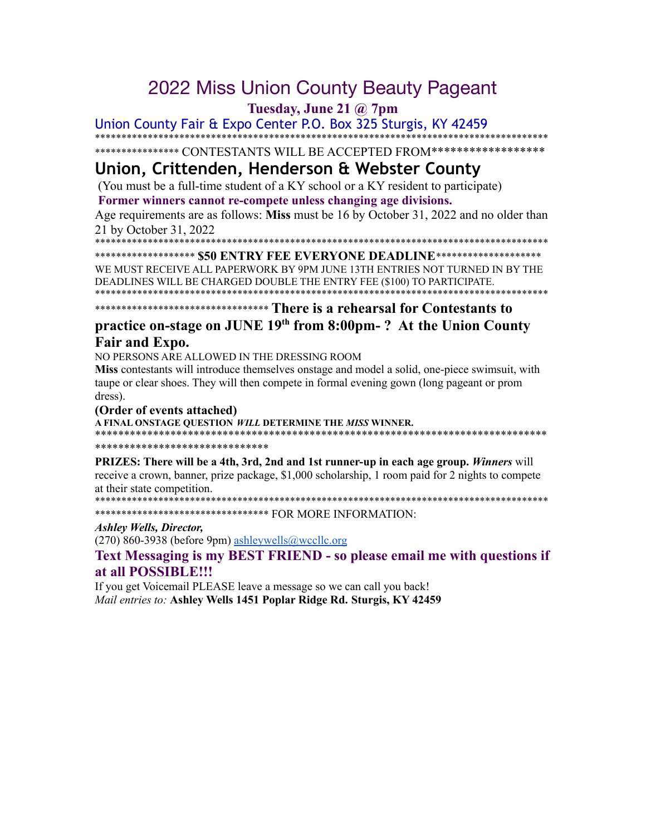# 2022 Miss Union County Beauty Pageant

**Tuesday, June 21 @ 7pm**

Union County Fair & Expo Center P.O. Box 325 Sturgis, KY 42459 \*\*\*\*\*\*\*\*\*\*\*\*\*\*\*\*\*\*\*\*\*\*\*\*\*\*\*\*\*\*\*\*\*\*\*\*\*\*\*\*\*\*\*\*\*\*\*\*\*\*\*\*\*\*\*\*\*\*\*\*\*\*\*\*\*\*\*\*\*\*\*\*\*\*\*\*\*\*\*\*\*\*\*\*\*\*

\*\*\*\*\*\*\*\*\*\*\*\*\*\*\*\* CONTESTANTS WILL BE ACCEPTED FROM\*\*\*\*\*\*\*\*\*\*\*\*\*\*\*\*\*\*\*

## **Union, Crittenden, Henderson & Webster County**

(You must be a full-time student of a KY school or a KY resident to participate) **Former winners cannot re-compete unless changing age divisions.**

Age requirements are as follows: **Miss** must be 16 by October 31, 2022 and no older than 21 by October 31, 2022

\*\*\*\*\*\*\*\*\*\*\*\*\*\*\*\*\*\*\*\*\*\*\*\*\*\*\*\*\*\*\*\*\*\*\*\*\*\*\*\*\*\*\*\*\*\*\*\*\*\*\*\*\*\*\*\*\*\*\*\*\*\*\*\*\*\*\*\*\*\*\*\*\*\*\*\*\*\*\*\*\*\*\*\*\*\*

\*\*\*\*\*\*\*\*\*\*\*\*\*\*\*\*\*\*\* **\$50 ENTRY FEE EVERYONE DEADLINE**\*\*\*\*\*\*\*\*\*\*\*\*\*\*\*\*\*\*\*\* WE MUST RECEIVE ALL PAPERWORK BY 9PM JUNE 13TH ENTRIES NOT TURNED IN BY THE DEADLINES WILL BE CHARGED DOUBLE THE ENTRY FEE (\$100) TO PARTICIPATE. \*\*\*\*\*\*\*\*\*\*\*\*\*\*\*\*\*\*\*\*\*\*\*\*\*\*\*\*\*\*\*\*\*\*\*\*\*\*\*\*\*\*\*\*\*\*\*\*\*\*\*\*\*\*\*\*\*\*\*\*\*\*\*\*\*\*\*\*\*\*\*\*\*\*\*\*\*\*\*\*\*\*\*\*\*\*

\*\*\*\*\*\*\*\*\*\*\*\*\*\*\*\*\*\*\*\*\*\*\*\*\*\*\*\*\*\*\*\*\* **There is a rehearsal for Contestants to**

## **practice on-stage on JUNE 19 th from 8:00pm- ? At the Union County Fair and Expo.**

NO PERSONS ARE ALLOWED IN THE DRESSING ROOM

**Miss** contestants will introduce themselves onstage and model a solid, one-piece swimsuit, with taupe or clear shoes. They will then compete in formal evening gown (long pageant or prom dress).

#### **(Order of events attached)**

**A FINAL ONSTAGE QUESTION** *WILL* **DETERMINE THE** *MISS* **WINNER.** \*\*\*\*\*\*\*\*\*\*\*\*\*\*\*\*\*\*\*\*\*\*\*\*\*\*\*\*\*\*\*\*\*\*\*\*\*\*\*\*\*\*\*\*\*\*\*\*\*\*\*\*\*\*\*\*\*\*\*\*\*\*\*\*\*\*\*\*\*\*\*\*\*\*\*\*\*\*

#### \*\*\*\*\*\*\*\*\*\*\*\*\*\*\*\*\*\*\*\*\*\*\*\*\*\*\*\*\*\*

**PRIZES: There will be a 4th, 3rd, 2nd and 1st runner-up in each age group.** *Winners* will receive a crown, banner, prize package, \$1,000 scholarship, 1 room paid for 2 nights to compete at their state competition.

\*\*\*\*\*\*\*\*\*\*\*\*\*\*\*\*\*\*\*\*\*\*\*\*\*\*\*\*\*\*\*\*\*\*\*\*\*\*\*\*\*\*\*\*\*\*\*\*\*\*\*\*\*\*\*\*\*\*\*\*\*\*\*\*\*\*\*\*\*\*\*\*\*\*\*\*\*\*\*\*\*\*\*\*\*\*

\*\*\*\*\*\*\*\*\*\*\*\*\*\*\*\*\*\*\*\*\*\*\*\*\*\*\*\*\*\*\*\*\* FOR MORE INFORMATION:

#### *Ashley Wells, Director,*

(270) 860-3938 (before 9pm) [ashleywells@wccllc.org](mailto:ashleywells@wccllc.org)

**Text Messaging is my BEST FRIEND - so please email me with questions if at all POSSIBLE!!!**

If you get Voicemail PLEASE leave a message so we can call you back! *Mail entries to:* **Ashley Wells 1451 Poplar Ridge Rd. Sturgis, KY 42459**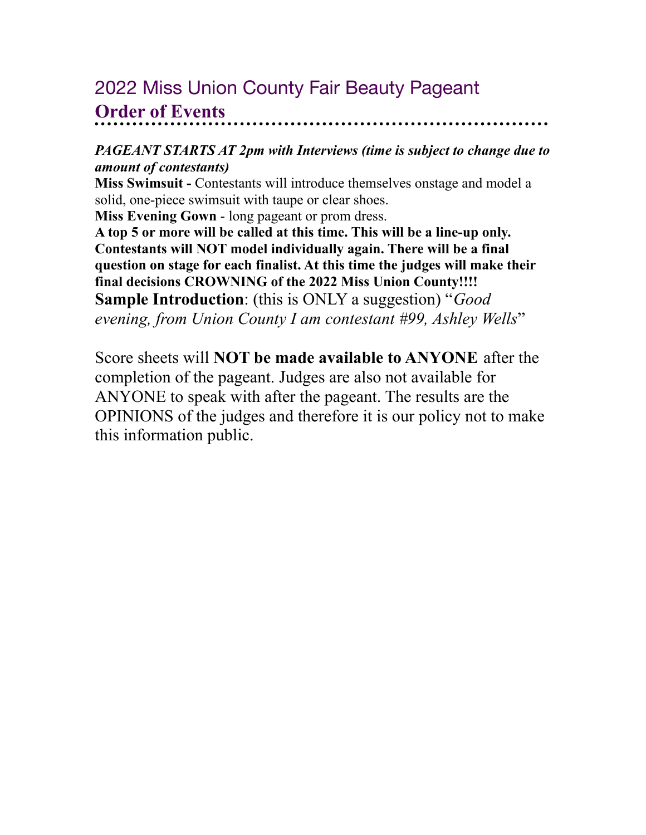## 2022 Miss Union County Fair Beauty Pageant **Order of Events**

## *PAGEANT STARTS AT 2pm with Interviews (time is subject to change due to amount of contestants)*

**Miss Swimsuit -** Contestants will introduce themselves onstage and model a solid, one-piece swimsuit with taupe or clear shoes.

**Miss Evening Gown** - long pageant or prom dress.

**A top 5 or more will be called at this time. This will be a line-up only. Contestants will NOT model individually again. There will be a final question on stage for each finalist. At this time the judges will make their final decisions CROWNING of the 2022 Miss Union County!!!! Sample Introduction**: (this is ONLY a suggestion) "*Good evening, from Union County I am contestant #99, Ashley Wells*"

Score sheets will **NOT be made available to ANYONE** after the completion of the pageant. Judges are also not available for ANYONE to speak with after the pageant. The results are the OPINIONS of the judges and therefore it is our policy not to make this information public.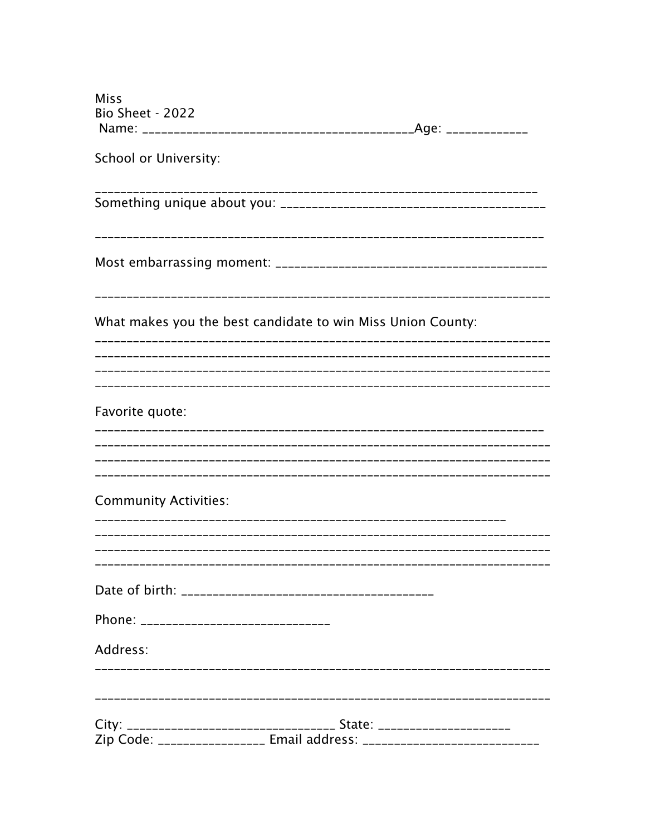| <b>Miss</b>                                 |                                                                        |  |
|---------------------------------------------|------------------------------------------------------------------------|--|
| <b>Bio Sheet - 2022</b>                     |                                                                        |  |
| School or University:                       |                                                                        |  |
|                                             | ---------------------------------                                      |  |
|                                             |                                                                        |  |
|                                             | What makes you the best candidate to win Miss Union County:            |  |
| Favorite quote:                             |                                                                        |  |
|                                             |                                                                        |  |
| <b>Community Activities:</b>                |                                                                        |  |
|                                             |                                                                        |  |
|                                             |                                                                        |  |
| Phone: _______________________________      |                                                                        |  |
| Address:<br>.______________________________ |                                                                        |  |
|                                             | City: __________________________________ State: ______________________ |  |